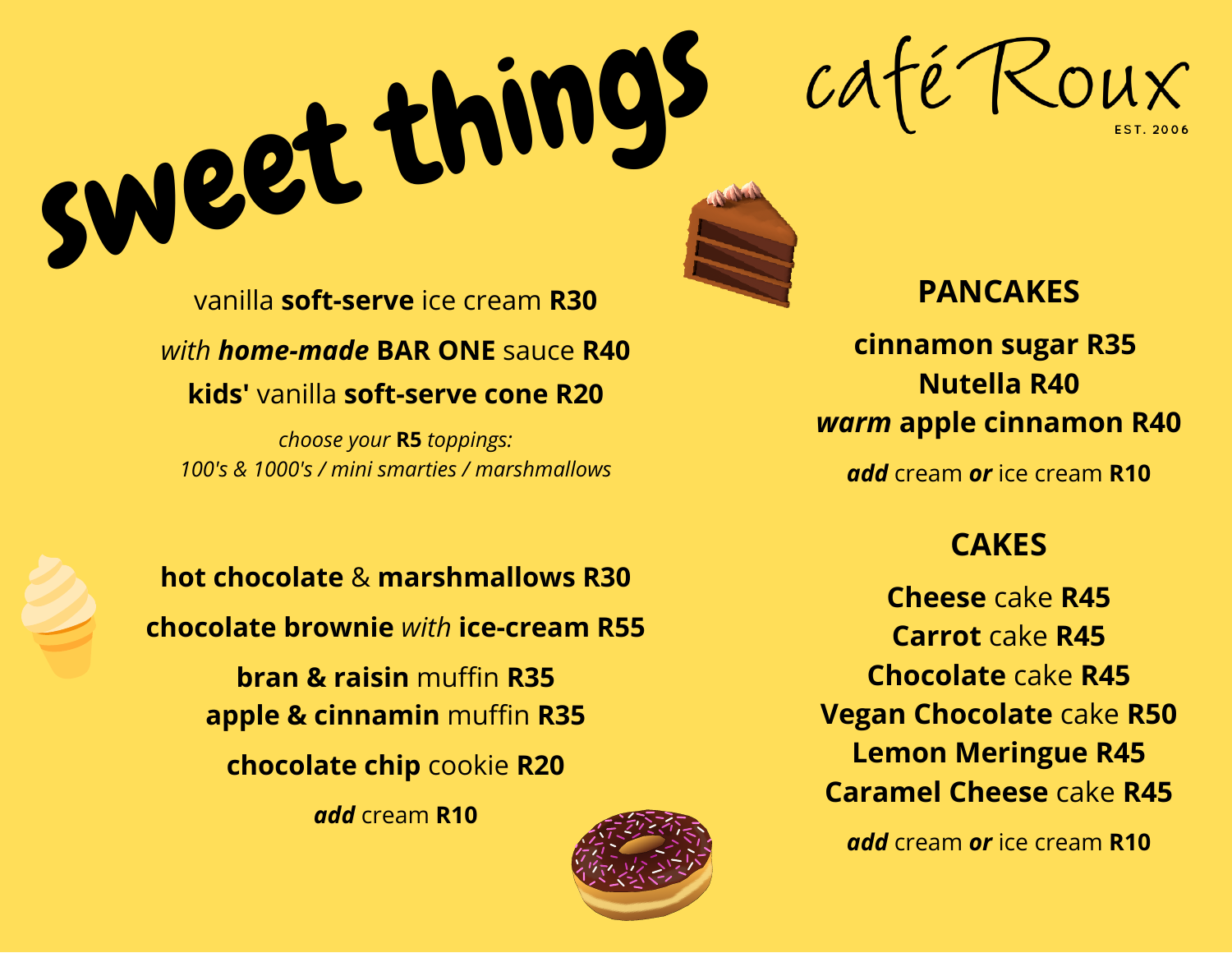café Roux

vanilla **soft-serve** ice cream **R30** *with home-made* **BAR ONE** sauce **R40 kids'** vanilla **soft-serve cone R20**

sweet things

*choose your* **R5** *toppings: 100's & 1000's / mini smarties / marshmallows*

**hot chocolate** & **marshmallows R30 chocolate brownie** *with* **ice-cream R55**

> **bran & raisin** muffin **R35 apple & cinnamin** muffin **R35 chocolate chip** cookie **R20**

> > *add* cream **R10**



## **PANCAKES**

**cinnamon sugar R35 Nutella R40** *warm* **apple cinnamon R40**

*add* cream *or* ice cream **R10**

## **CAKES**

**Cheese** cake **R45 Carrot** cake **R45 Chocolate** cake **R45 Vegan Chocolate** cake **R50 Lemon Meringue R45 Caramel Cheese** cake **R45**

*add* cream *or* ice cream **R10**